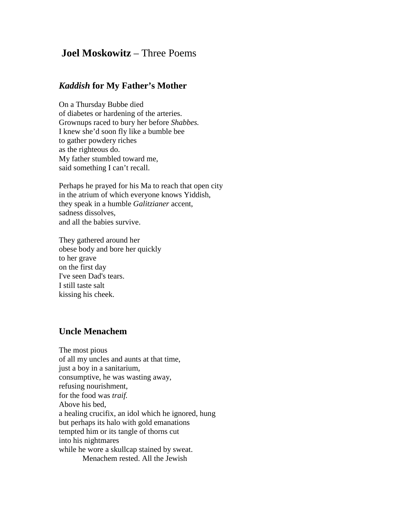## **Joel Moskowitz** – Three Poems

## *Kaddish* **for My Father's Mother**

On a Thursday Bubbe died of diabetes or hardening of the arteries. Grownups raced to bury her before *Shabbes.* I knew she'd soon fly like a bumble bee to gather powdery riches as the righteous do. My father stumbled toward me, said something I can't recall.

Perhaps he prayed for his Ma to reach that open city in the atrium of which everyone knows Yiddish, they speak in a humble *Galitzianer* accent, sadness dissolves, and all the babies survive.

They gathered around her obese body and bore her quickly to her grave on the first day I've seen Dad's tears. I still taste salt kissing his cheek.

## **Uncle Menachem**

The most pious of all my uncles and aunts at that time, just a boy in a sanitarium, consumptive, he was wasting away, refusing nourishment, for the food was *traif.* Above his bed, a healing crucifix, an idol which he ignored, hung but perhaps its halo with gold emanations tempted him or its tangle of thorns cut into his nightmares while he wore a skullcap stained by sweat. Menachem rested. All the Jewish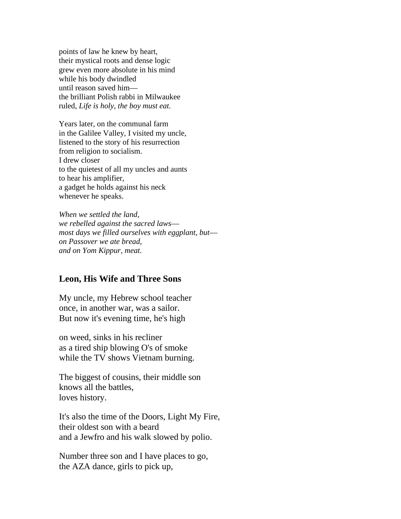points of law he knew by heart, their mystical roots and dense logic grew even more absolute in his mind while his body dwindled until reason saved him–– the brilliant Polish rabbi in Milwaukee ruled, *Life is holy, the boy must eat.*

Years later, on the communal farm in the Galilee Valley, I visited my uncle, listened to the story of his resurrection from religion to socialism. I drew closer to the quietest of all my uncles and aunts to hear his amplifier, a gadget he holds against his neck whenever he speaks.

*When we settled the land, we rebelled against the sacred laws–– most days we filled ourselves with eggplant, but–– on Passover we ate bread, and on Yom Kippur, meat.*

## **Leon, His Wife and Three Sons**

My uncle, my Hebrew school teacher once, in another war, was a sailor. But now it's evening time, he's high

on weed, sinks in his recliner as a tired ship blowing O's of smoke while the TV shows Vietnam burning.

The biggest of cousins, their middle son knows all the battles, loves history.

It's also the time of the Doors, Light My Fire, their oldest son with a beard and a Jewfro and his walk slowed by polio.

Number three son and I have places to go, the AZA dance, girls to pick up,